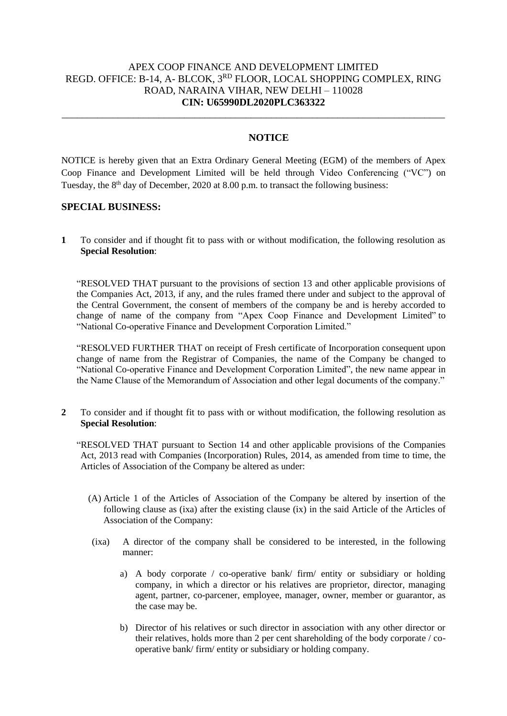## APEX COOP FINANCE AND DEVELOPMENT LIMITED REGD. OFFICE: B-14, A- BLCOK, 3RD FLOOR, LOCAL SHOPPING COMPLEX, RING ROAD, NARAINA VIHAR, NEW DELHI – 110028 **CIN: U65990DL2020PLC363322**

\_\_\_\_\_\_\_\_\_\_\_\_\_\_\_\_\_\_\_\_\_\_\_\_\_\_\_\_\_\_\_\_\_\_\_\_\_\_\_\_\_\_\_\_\_\_\_\_\_\_\_\_\_\_\_\_\_\_\_\_\_\_\_\_\_\_\_\_\_\_\_\_\_\_\_

## **NOTICE**

NOTICE is hereby given that an Extra Ordinary General Meeting (EGM) of the members of Apex Coop Finance and Development Limited will be held through Video Conferencing ("VC") on Tuesday, the 8<sup>th</sup> day of December, 2020 at 8.00 p.m. to transact the following business:

#### **SPECIAL BUSINESS:**

**1** To consider and if thought fit to pass with or without modification, the following resolution as **Special Resolution**:

"RESOLVED THAT pursuant to the provisions of section 13 and other applicable provisions of the Companies Act, 2013, if any, and the rules framed there under and subject to the approval of the Central Government, the consent of members of the company be and is hereby accorded to change of name of the company from "Apex Coop Finance and Development Limited" to "National Co-operative Finance and Development Corporation Limited."

"RESOLVED FURTHER THAT on receipt of Fresh certificate of Incorporation consequent upon change of name from the Registrar of Companies, the name of the Company be changed to "National Co-operative Finance and Development Corporation Limited", the new name appear in the Name Clause of the Memorandum of Association and other legal documents of the company."

**2** To consider and if thought fit to pass with or without modification, the following resolution as **Special Resolution**:

"RESOLVED THAT pursuant to Section 14 and other applicable provisions of the Companies Act, 2013 read with Companies (Incorporation) Rules, 2014, as amended from time to time, the Articles of Association of the Company be altered as under:

- (A) Article 1 of the Articles of Association of the Company be altered by insertion of the following clause as (ixa) after the existing clause (ix) in the said Article of the Articles of Association of the Company:
- (ixa) A director of the company shall be considered to be interested, in the following manner:
	- a) A body corporate / co-operative bank/ firm/ entity or subsidiary or holding company, in which a director or his relatives are proprietor, director, managing agent, partner, co-parcener, employee, manager, owner, member or guarantor, as the case may be.
	- b) Director of his relatives or such director in association with any other director or their relatives, holds more than 2 per cent shareholding of the body corporate / cooperative bank/ firm/ entity or subsidiary or holding company.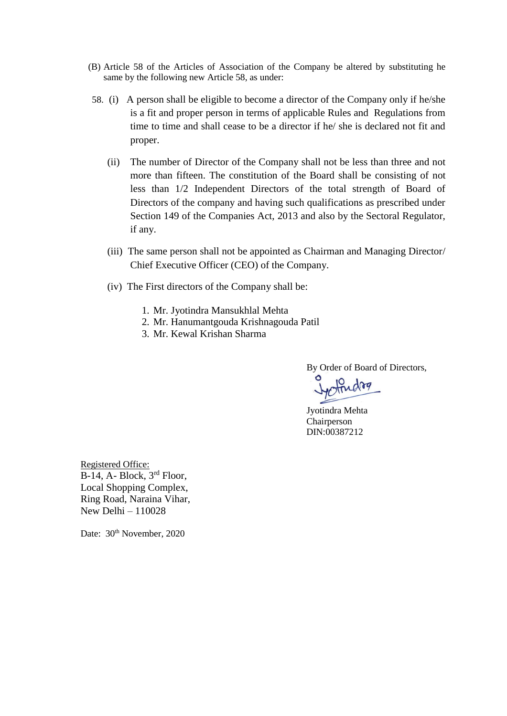- (B) Article 58 of the Articles of Association of the Company be altered by substituting he same by the following new Article 58, as under:
- 58. (i) A person shall be eligible to become a director of the Company only if he/she is a fit and proper person in terms of applicable Rules and Regulations from time to time and shall cease to be a director if he/ she is declared not fit and proper.
	- (ii) The number of Director of the Company shall not be less than three and not more than fifteen. The constitution of the Board shall be consisting of not less than 1/2 Independent Directors of the total strength of Board of Directors of the company and having such qualifications as prescribed under Section 149 of the Companies Act, 2013 and also by the Sectoral Regulator, if any.
	- (iii) The same person shall not be appointed as Chairman and Managing Director/ Chief Executive Officer (CEO) of the Company.
	- (iv) The First directors of the Company shall be:
		- 1. Mr. Jyotindra Mansukhlal Mehta
		- 2. Mr. Hanumantgouda Krishnagouda Patil
		- 3. Mr. Kewal Krishan Sharma

By Order of Board of Directors,

Jyotindra Mehta Chairperson DIN:00387212

Registered Office: B-14, A- Block, 3rd Floor, Local Shopping Complex, Ring Road, Naraina Vihar, New Delhi – 110028

Date: 30<sup>th</sup> November, 2020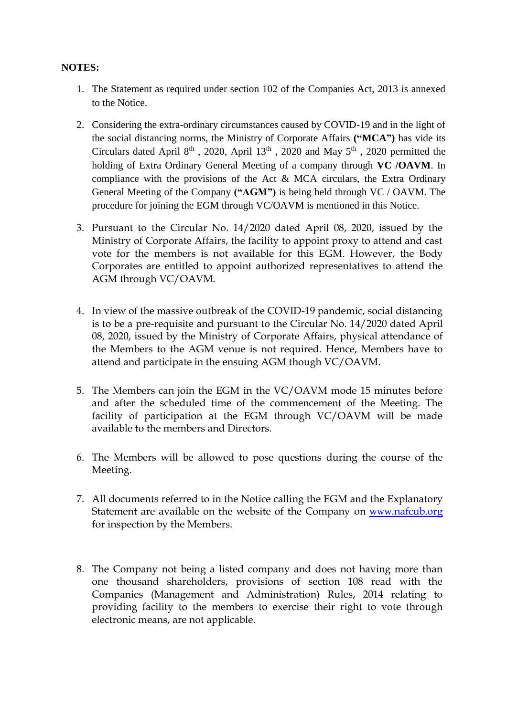# **NOTES:**

- 1. The Statement as required under section 102 of the Companies Act, 2013 is annexed to the Notice.
- 2. Considering the extra-ordinary circumstances caused by COVID-19 and in the light of the social distancing norms, the Ministry of Corporate Affairs **("MCA")** has vide its Circulars dated April  $8<sup>th</sup>$ , 2020, April  $13<sup>th</sup>$ , 2020 and May  $5<sup>th</sup>$ , 2020 permitted the holding of Extra Ordinary General Meeting of a company through **VC /OAVM**. In compliance with the provisions of the Act & MCA circulars, the Extra Ordinary General Meeting of the Company **("AGM")** is being held through VC / OAVM. The procedure for joining the EGM through VC/OAVM is mentioned in this Notice.
- 3. Pursuant to the Circular No. 14/2020 dated April 08, 2020, issued by the Ministry of Corporate Affairs, the facility to appoint proxy to attend and cast vote for the members is not available for this EGM. However, the Body Corporates are entitled to appoint authorized representatives to attend the AGM through VC/OAVM.
- 4. In view of the massive outbreak of the COVID-19 pandemic, social distancing is to be a pre-requisite and pursuant to the Circular No. 14/2020 dated April 08, 2020, issued by the Ministry of Corporate Affairs, physical attendance of the Members to the AGM venue is not required. Hence, Members have to attend and participate in the ensuing AGM though VC/OAVM.
- 5. The Members can join the EGM in the VC/OAVM mode 15 minutes before and after the scheduled time of the commencement of the Meeting. The facility of participation at the EGM through VC/OAVM will be made available to the members and Directors.
- 6. The Members will be allowed to pose questions during the course of the Meeting.
- 7. All documents referred to in the Notice calling the EGM and the Explanatory Statement are available on the website of the Company on www.[nafcub.org](http://www._________________/) for inspection by the Members.
- 8. The Company not being a listed company and does not having more than one thousand shareholders, provisions of section 108 read with the Companies (Management and Administration) Rules, 2014 relating to providing facility to the members to exercise their right to vote through electronic means, are not applicable.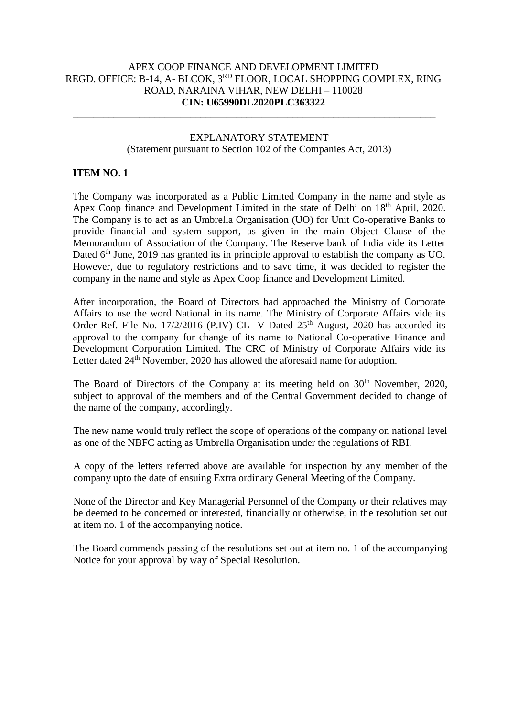## APEX COOP FINANCE AND DEVELOPMENT LIMITED REGD. OFFICE: B-14, A- BLCOK, 3RD FLOOR, LOCAL SHOPPING COMPLEX, RING ROAD, NARAINA VIHAR, NEW DELHI – 110028 **CIN: U65990DL2020PLC363322**

\_\_\_\_\_\_\_\_\_\_\_\_\_\_\_\_\_\_\_\_\_\_\_\_\_\_\_\_\_\_\_\_\_\_\_\_\_\_\_\_\_\_\_\_\_\_\_\_\_\_\_\_\_\_\_\_\_\_\_\_\_\_\_\_\_\_\_\_\_\_\_

## EXPLANATORY STATEMENT (Statement pursuant to Section 102 of the Companies Act, 2013)

## **ITEM NO. 1**

The Company was incorporated as a Public Limited Company in the name and style as Apex Coop finance and Development Limited in the state of Delhi on 18<sup>th</sup> April, 2020. The Company is to act as an Umbrella Organisation (UO) for Unit Co-operative Banks to provide financial and system support, as given in the main Object Clause of the Memorandum of Association of the Company. The Reserve bank of India vide its Letter Dated  $6<sup>th</sup>$  June, 2019 has granted its in principle approval to establish the company as UO. However, due to regulatory restrictions and to save time, it was decided to register the company in the name and style as Apex Coop finance and Development Limited.

After incorporation, the Board of Directors had approached the Ministry of Corporate Affairs to use the word National in its name. The Ministry of Corporate Affairs vide its Order Ref. File No. 17/2/2016 (P.IV) CL- V Dated  $25<sup>th</sup>$  August, 2020 has accorded its approval to the company for change of its name to National Co-operative Finance and Development Corporation Limited. The CRC of Ministry of Corporate Affairs vide its Letter dated 24<sup>th</sup> November, 2020 has allowed the aforesaid name for adoption.

The Board of Directors of the Company at its meeting held on 30<sup>th</sup> November, 2020, subject to approval of the members and of the Central Government decided to change of the name of the company, accordingly.

The new name would truly reflect the scope of operations of the company on national level as one of the NBFC acting as Umbrella Organisation under the regulations of RBI.

A copy of the letters referred above are available for inspection by any member of the company upto the date of ensuing Extra ordinary General Meeting of the Company.

None of the Director and Key Managerial Personnel of the Company or their relatives may be deemed to be concerned or interested, financially or otherwise, in the resolution set out at item no. 1 of the accompanying notice.

The Board commends passing of the resolutions set out at item no. 1 of the accompanying Notice for your approval by way of Special Resolution.